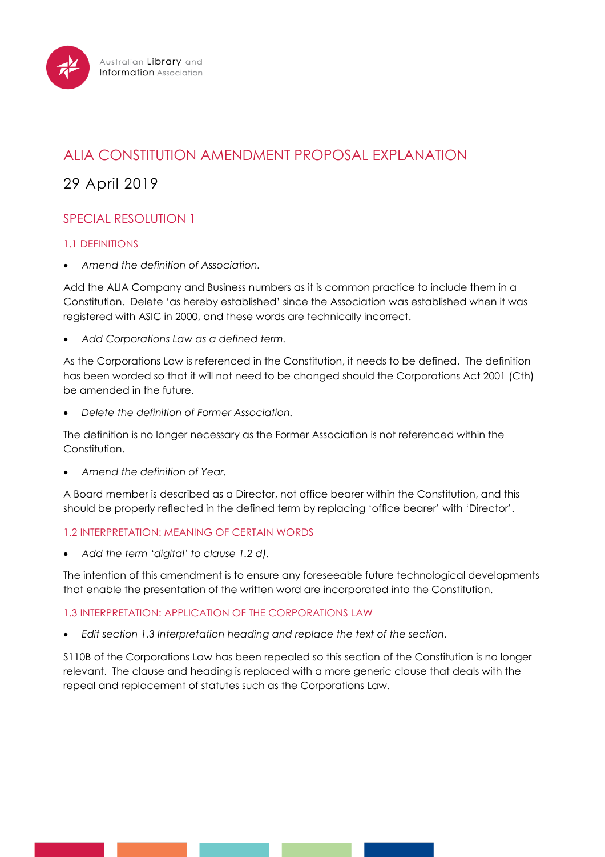

# ALIA CONSTITUTION AMENDMENT PROPOSAL EXPLANATION

# 29 April 2019

# SPECIAL RESOLUTION 1

# 1.1 DEFINITIONS

• *Amend the definition of Association.*

Add the ALIA Company and Business numbers as it is common practice to include them in a Constitution. Delete 'as hereby established' since the Association was established when it was registered with ASIC in 2000, and these words are technically incorrect.

• *Add Corporations Law as a defined term.*

As the Corporations Law is referenced in the Constitution, it needs to be defined. The definition has been worded so that it will not need to be changed should the Corporations Act 2001 (Cth) be amended in the future.

• *Delete the definition of Former Association.*

The definition is no longer necessary as the Former Association is not referenced within the Constitution.

• *Amend the definition of Year.* 

A Board member is described as a Director, not office bearer within the Constitution, and this should be properly reflected in the defined term by replacing 'office bearer' with 'Director'.

# 1.2 INTERPRETATION: MEANING OF CERTAIN WORDS

• *Add the term 'digital' to clause 1.2 d).*

The intention of this amendment is to ensure any foreseeable future technological developments that enable the presentation of the written word are incorporated into the Constitution.

# 1.3 INTERPRETATION: APPLICATION OF THE CORPORATIONS LAW

• *Edit section 1.3 Interpretation heading and replace the text of the section.*

S110B of the Corporations Law has been repealed so this section of the Constitution is no longer relevant. The clause and heading is replaced with a more generic clause that deals with the repeal and replacement of statutes such as the Corporations Law.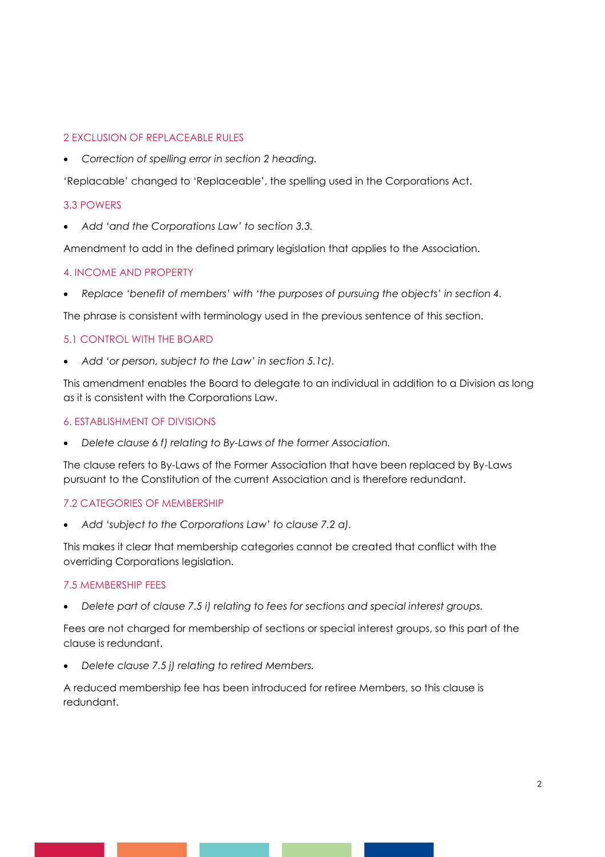# 2 EXCLUSION OF REPLACEABLE RULES

• *Correction of spelling error in section 2 heading.*

'Replacable' changed to 'Replaceable', the spelling used in the Corporations Act.

### 3.3 POWERS

• *Add 'and the Corporations Law' to section 3.3.*

Amendment to add in the defined primary legislation that applies to the Association.

### 4. INCOME AND PROPERTY

• *Replace 'benefit of members' with 'the purposes of pursuing the objects' in section 4.*

The phrase is consistent with terminology used in the previous sentence of this section.

### 5.1 CONTROL WITH THE BOARD

• *Add 'or person, subject to the Law' in section 5.1c).*

This amendment enables the Board to delegate to an individual in addition to a Division as long as it is consistent with the Corporations Law.

### 6. ESTABLISHMENT OF DIVISIONS

• *Delete clause 6 f) relating to By-Laws of the former Association.*

The clause refers to By-Laws of the Former Association that have been replaced by By-Laws pursuant to the Constitution of the current Association and is therefore redundant.

# 7.2 CATEGORIES OF MEMBERSHIP

• *Add 'subject to the Corporations Law' to clause 7.2 a).*

This makes it clear that membership categories cannot be created that conflict with the overriding Corporations legislation.

### 7.5 MEMBERSHIP FEES

• *Delete part of clause 7.5 i) relating to fees for sections and special interest groups.*

Fees are not charged for membership of sections or special interest groups, so this part of the clause is redundant.

• *Delete clause 7.5 j) relating to retired Members.*

A reduced membership fee has been introduced for retiree Members, so this clause is redundant.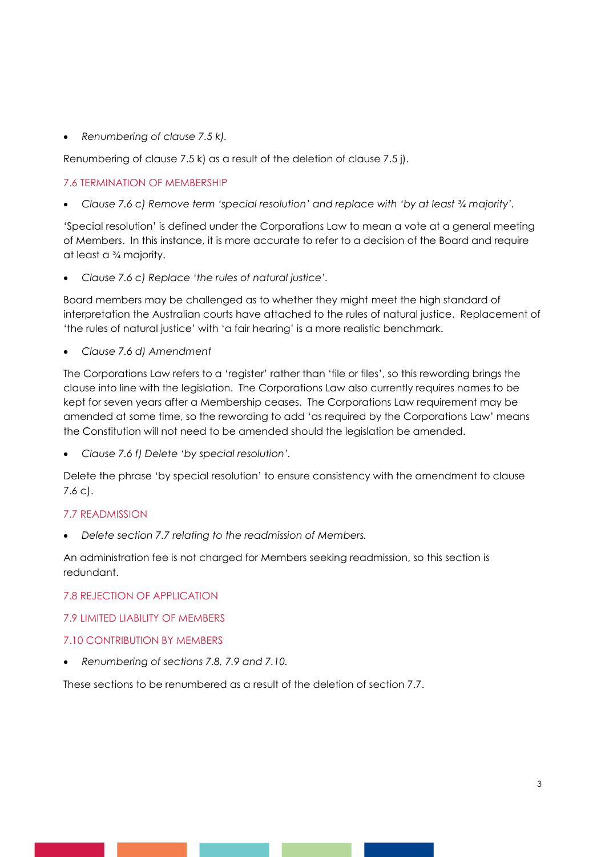• *Renumbering of clause 7.5 k).*

Renumbering of clause 7.5 k) as a result of the deletion of clause 7.5 j).

### 7.6 TERMINATION OF MEMBERSHIP

• *Clause 7.6 c) Remove term 'special resolution' and replace with 'by at least ¾ majority'.*

'Special resolution' is defined under the Corporations Law to mean a vote at a general meeting of Members. In this instance, it is more accurate to refer to a decision of the Board and require at least a ¾ majority.

• *Clause 7.6 c) Replace 'the rules of natural justice'.*

Board members may be challenged as to whether they might meet the high standard of interpretation the Australian courts have attached to the rules of natural justice. Replacement of 'the rules of natural justice' with 'a fair hearing' is a more realistic benchmark.

• *Clause 7.6 d) Amendment*

The Corporations Law refers to a 'register' rather than 'file or files', so this rewording brings the clause into line with the legislation. The Corporations Law also currently requires names to be kept for seven years after a Membership ceases. The Corporations Law requirement may be amended at some time, so the rewording to add 'as required by the Corporations Law' means the Constitution will not need to be amended should the legislation be amended.

• *Clause 7.6 f) Delete 'by special resolution'.*

Delete the phrase 'by special resolution' to ensure consistency with the amendment to clause 7.6 c).

### 7.7 READMISSION

• *Delete section 7.7 relating to the readmission of Members.*

An administration fee is not charged for Members seeking readmission, so this section is redundant.

### 7.8 REJECTION OF APPLICATION

7.9 LIMITED LIABILITY OF MEMBERS

### 7.10 CONTRIBUTION BY MEMBERS

• *Renumbering of sections 7.8, 7.9 and 7.10.*

These sections to be renumbered as a result of the deletion of section 7.7.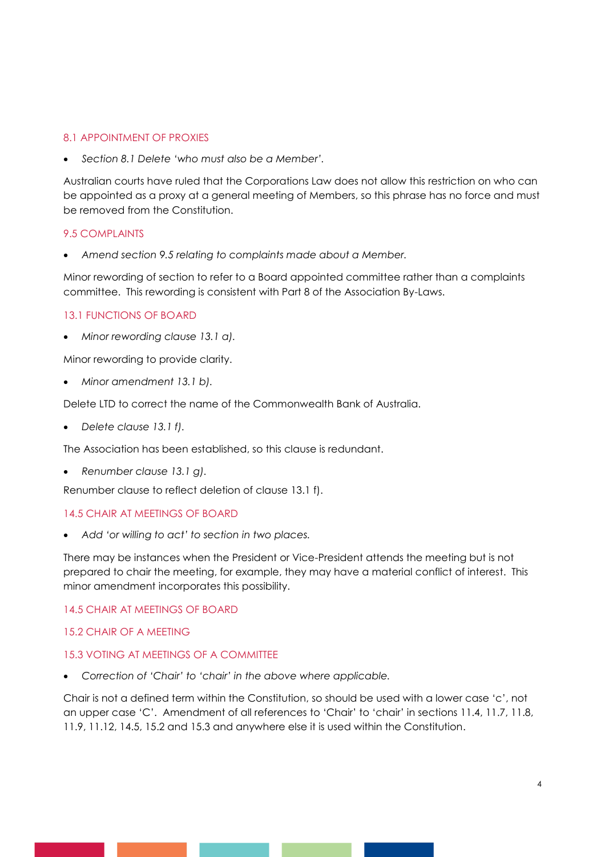### 8.1 APPOINTMENT OF PROXIES

• *Section 8.1 Delete 'who must also be a Member'.*

Australian courts have ruled that the Corporations Law does not allow this restriction on who can be appointed as a proxy at a general meeting of Members, so this phrase has no force and must be removed from the Constitution.

### 9.5 COMPLAINTS

• *Amend section 9.5 relating to complaints made about a Member.*

Minor rewording of section to refer to a Board appointed committee rather than a complaints committee. This rewording is consistent with Part 8 of the Association By-Laws.

# 13.1 FUNCTIONS OF BOARD

• *Minor rewording clause 13.1 a).*

Minor rewording to provide clarity.

• *Minor amendment 13.1 b).*

Delete LTD to correct the name of the Commonwealth Bank of Australia.

• *Delete clause 13.1 f).*

The Association has been established, so this clause is redundant.

• *Renumber clause 13.1 g).*

Renumber clause to reflect deletion of clause 13.1 f).

### 14.5 CHAIR AT MEETINGS OF BOARD

• *Add 'or willing to act' to section in two places.*

There may be instances when the President or Vice-President attends the meeting but is not prepared to chair the meeting, for example, they may have a material conflict of interest. This minor amendment incorporates this possibility.

14.5 CHAIR AT MEETINGS OF BOARD

### 15.2 CHAIR OF A MEETING

### 15.3 VOTING AT MEETINGS OF A COMMITTEE

• *Correction of 'Chair' to 'chair' in the above where applicable.*

Chair is not a defined term within the Constitution, so should be used with a lower case 'c', not an upper case 'C'. Amendment of all references to 'Chair' to 'chair' in sections 11.4, 11.7, 11.8, 11.9, 11.12, 14.5, 15.2 and 15.3 and anywhere else it is used within the Constitution.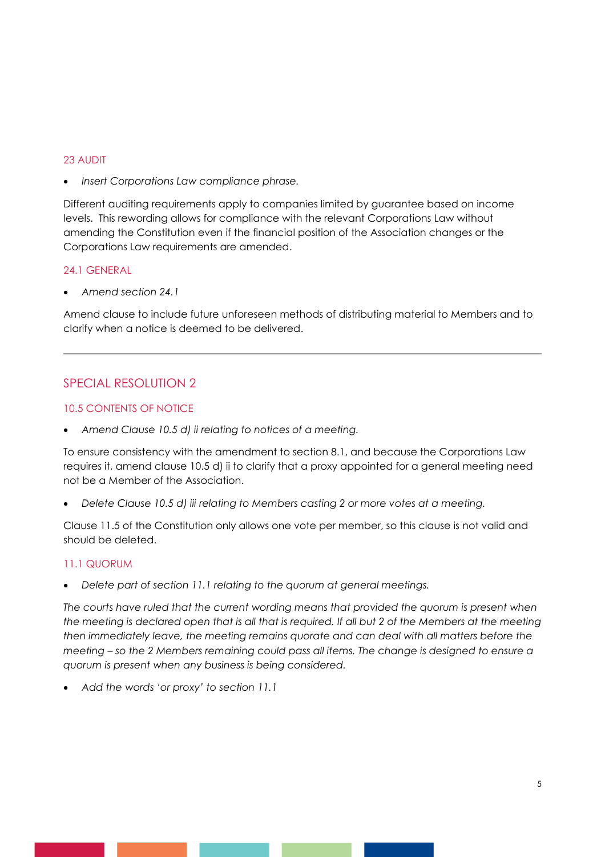### 23 AUDIT

• *Insert Corporations Law compliance phrase.*

Different auditing requirements apply to companies limited by guarantee based on income levels. This rewording allows for compliance with the relevant Corporations Law without amending the Constitution even if the financial position of the Association changes or the Corporations Law requirements are amended.

### 24.1 GENERAL

• *Amend section 24.1*

Amend clause to include future unforeseen methods of distributing material to Members and to clarify when a notice is deemed to be delivered.

# SPECIAL RESOLUTION 2

### 10.5 CONTENTS OF NOTICE

• *Amend Clause 10.5 d) ii relating to notices of a meeting.*

To ensure consistency with the amendment to section 8.1, and because the Corporations Law requires it, amend clause 10.5 d) ii to clarify that a proxy appointed for a general meeting need not be a Member of the Association.

• *Delete Clause 10.5 d) iii relating to Members casting 2 or more votes at a meeting.*

Clause 11.5 of the Constitution only allows one vote per member, so this clause is not valid and should be deleted.

# 11.1 QUORUM

• *Delete part of section 11.1 relating to the quorum at general meetings.* 

*The courts have ruled that the current wording means that provided the quorum is present when the meeting is declared open that is all that is required. If all but 2 of the Members at the meeting then immediately leave, the meeting remains quorate and can deal with all matters before the meeting – so the 2 Members remaining could pass all items. The change is designed to ensure a quorum is present when any business is being considered.*

• *Add the words 'or proxy' to section 11.1*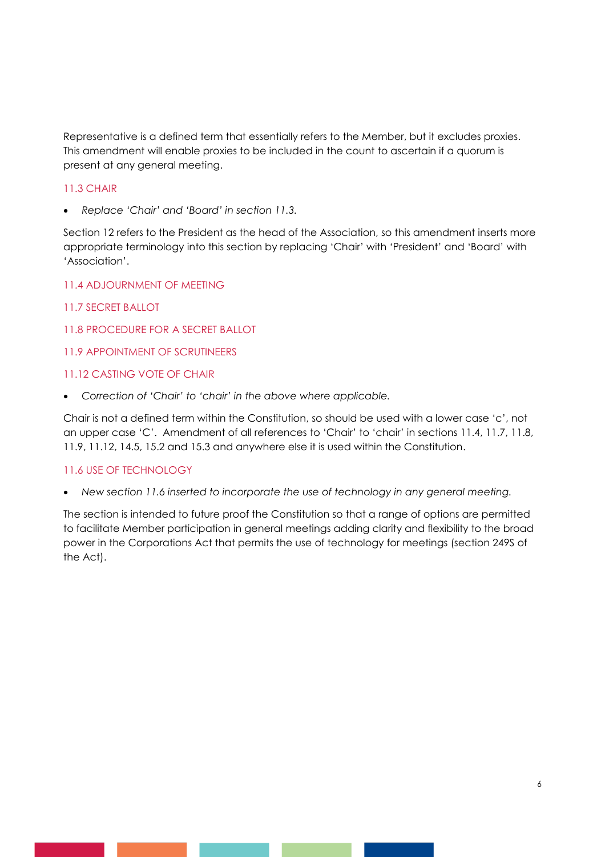Representative is a defined term that essentially refers to the Member, but it excludes proxies. This amendment will enable proxies to be included in the count to ascertain if a quorum is present at any general meeting.

# 11.3 CHAIR

• *Replace 'Chair' and 'Board' in section 11.3.*

Section 12 refers to the President as the head of the Association, so this amendment inserts more appropriate terminology into this section by replacing 'Chair' with 'President' and 'Board' with 'Association'.

### 11.4 ADJOURNMENT OF MEETING

- 11.7 SECRET BALLOT
- 11.8 PROCEDURE FOR A SECRET BALLOT

### 11.9 APPOINTMENT OF SCRUTINEERS

### 11.12 CASTING VOTE OF CHAIR

• *Correction of 'Chair' to 'chair' in the above where applicable.*

Chair is not a defined term within the Constitution, so should be used with a lower case 'c', not an upper case 'C'. Amendment of all references to 'Chair' to 'chair' in sections 11.4, 11.7, 11.8, 11.9, 11.12, 14.5, 15.2 and 15.3 and anywhere else it is used within the Constitution.

### 11.6 USE OF TECHNOLOGY

• *New section 11.6 inserted to incorporate the use of technology in any general meeting.*

The section is intended to future proof the Constitution so that a range of options are permitted to facilitate Member participation in general meetings adding clarity and flexibility to the broad power in the Corporations Act that permits the use of technology for meetings (section 249S of the Act).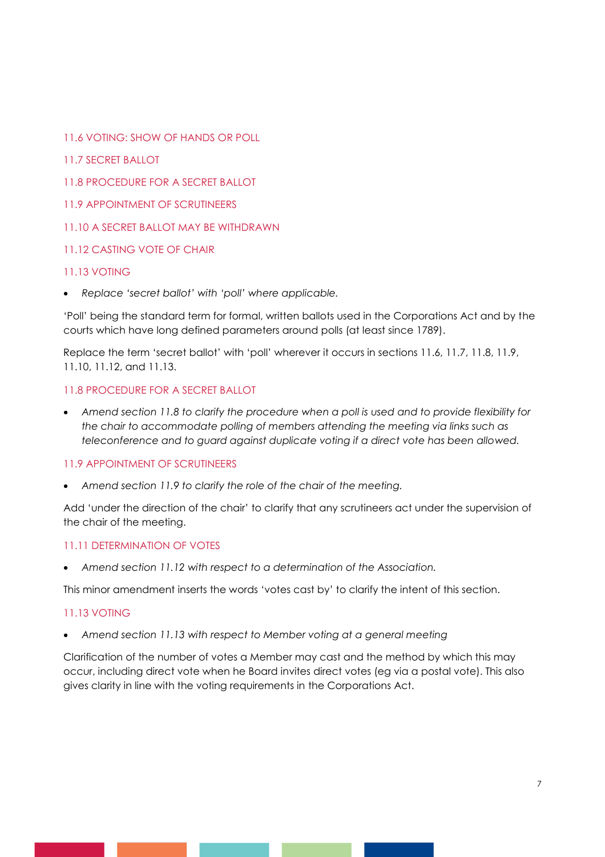- 11.6 VOTING: SHOW OF HANDS OR POLL
- 11.7 SECRET BALLOT
- 11.8 PROCEDURE FOR A SECRET BALLOT
- 11.9 APPOINTMENT OF SCRUTINEERS
- 11.10 A SECRET BALLOT MAY BE WITHDRAWN
- 11.12 CASTING VOTE OF CHAIR

# 11.13 VOTING

• *Replace 'secret ballot' with 'poll' where applicable.* 

'Poll' being the standard term for formal, written ballots used in the Corporations Act and by the courts which have long defined parameters around polls (at least since 1789).

Replace the term 'secret ballot' with 'poll' wherever it occurs in sections 11.6, 11.7, 11.8, 11.9, 11.10, 11.12, and 11.13.

# 11.8 PROCEDURE FOR A SECRET BALLOT

• *Amend section 11.8 to clarify the procedure when a poll is used and to provide flexibility for the chair to accommodate polling of members attending the meeting via links such as teleconference and to guard against duplicate voting if a direct vote has been allowed.*

# 11.9 APPOINTMENT OF SCRUTINEERS

• *Amend section 11.9 to clarify the role of the chair of the meeting.*

Add 'under the direction of the chair' to clarify that any scrutineers act under the supervision of the chair of the meeting.

# 11.11 DETERMINATION OF VOTES

• *Amend section 11.12 with respect to a determination of the Association.*

This minor amendment inserts the words 'votes cast by' to clarify the intent of this section.

# 11.13 VOTING

• *Amend section 11.13 with respect to Member voting at a general meeting*

Clarification of the number of votes a Member may cast and the method by which this may occur, including direct vote when he Board invites direct votes (eg via a postal vote). This also gives clarity in line with the voting requirements in the Corporations Act.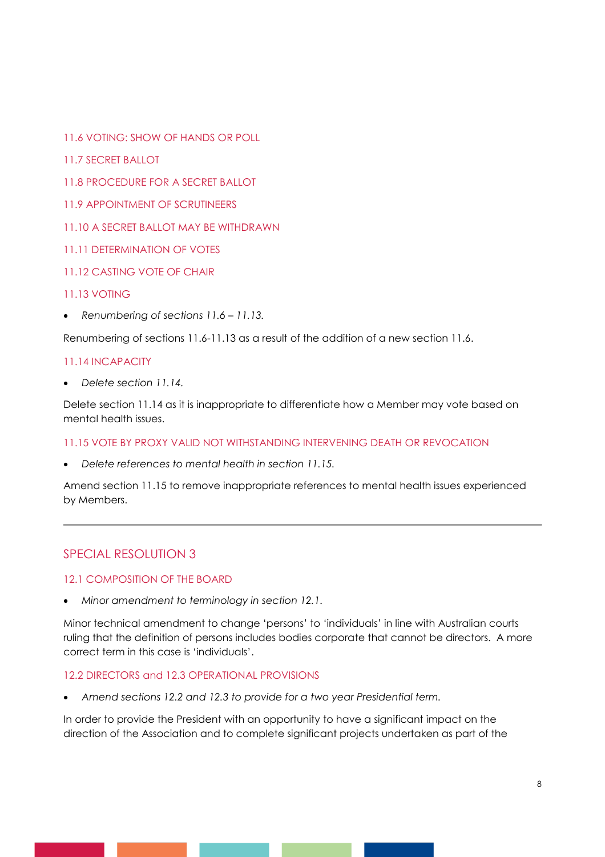- 11.6 VOTING: SHOW OF HANDS OR POLL
- 11.7 SECRET BALLOT
- 11.8 PROCEDURE FOR A SECRET BALLOT
- 11.9 APPOINTMENT OF SCRUTINEERS
- 11.10 A SECRET BALLOT MAY BE WITHDRAWN
- 11.11 DETERMINATION OF VOTES
- 11.12 CASTING VOTE OF CHAIR

# 11.13 VOTING

• *Renumbering of sections 11.6 – 11.13.*

Renumbering of sections 11.6-11.13 as a result of the addition of a new section 11.6.

# 11.14 INCAPACITY

• *Delete section 11.14.*

Delete section 11.14 as it is inappropriate to differentiate how a Member may vote based on mental health issues.

# 11.15 VOTE BY PROXY VALID NOT WITHSTANDING INTERVENING DEATH OR REVOCATION

• *Delete references to mental health in section 11.15.* 

Amend section 11.15 to remove inappropriate references to mental health issues experienced by Members.

# SPECIAL RESOLUTION 3

# 12.1 COMPOSITION OF THE BOARD

• *Minor amendment to terminology in section 12.1.*

Minor technical amendment to change 'persons' to 'individuals' in line with Australian courts ruling that the definition of persons includes bodies corporate that cannot be directors. A more correct term in this case is 'individuals'.

# 12.2 DIRECTORS and 12.3 OPERATIONAL PROVISIONS

• *Amend sections 12.2 and 12.3 to provide for a two year Presidential term.*

In order to provide the President with an opportunity to have a significant impact on the direction of the Association and to complete significant projects undertaken as part of the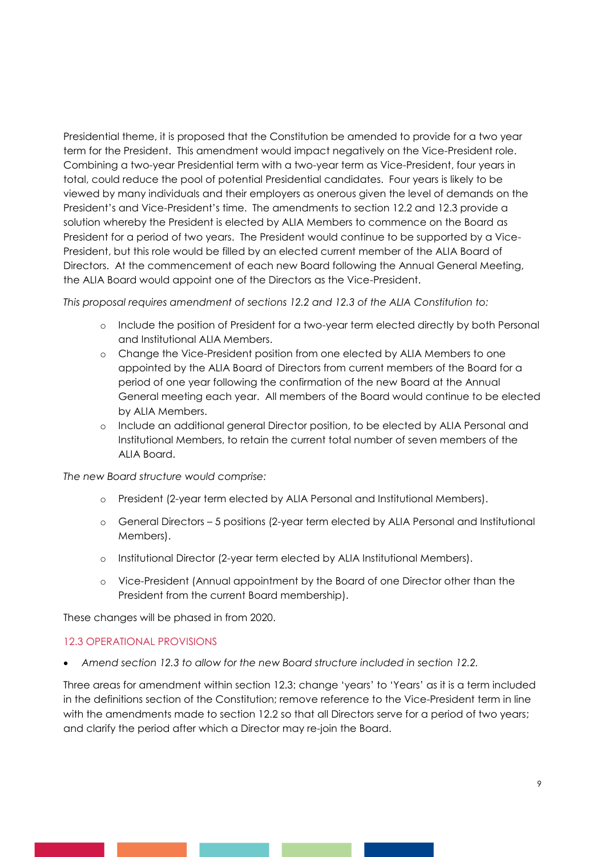Presidential theme, it is proposed that the Constitution be amended to provide for a two year term for the President. This amendment would impact negatively on the Vice-President role. Combining a two-year Presidential term with a two-year term as Vice-President, four years in total, could reduce the pool of potential Presidential candidates. Four years is likely to be viewed by many individuals and their employers as onerous given the level of demands on the President's and Vice-President's time. The amendments to section 12.2 and 12.3 provide a solution whereby the President is elected by ALIA Members to commence on the Board as President for a period of two years. The President would continue to be supported by a Vice-President, but this role would be filled by an elected current member of the ALIA Board of Directors. At the commencement of each new Board following the Annual General Meeting, the ALIA Board would appoint one of the Directors as the Vice-President.

*This proposal requires amendment of sections 12.2 and 12.3 of the ALIA Constitution to:*

- o Include the position of President for a two-year term elected directly by both Personal and Institutional ALIA Members.
- o Change the Vice-President position from one elected by ALIA Members to one appointed by the ALIA Board of Directors from current members of the Board for a period of one year following the confirmation of the new Board at the Annual General meeting each year. All members of the Board would continue to be elected by ALIA Members.
- o Include an additional general Director position, to be elected by ALIA Personal and Institutional Members, to retain the current total number of seven members of the ALIA Board.

*The new Board structure would comprise:*

- o President (2-year term elected by ALIA Personal and Institutional Members).
- o General Directors 5 positions (2-year term elected by ALIA Personal and Institutional Members).
- o Institutional Director (2-year term elected by ALIA Institutional Members).
- o Vice-President (Annual appointment by the Board of one Director other than the President from the current Board membership).

These changes will be phased in from 2020.

### 12.3 OPERATIONAL PROVISIONS

• *Amend section 12.3 to allow for the new Board structure included in section 12.2.*

Three areas for amendment within section 12.3: change 'years' to 'Years' as it is a term included in the definitions section of the Constitution; remove reference to the Vice-President term in line with the amendments made to section 12.2 so that all Directors serve for a period of two years; and clarify the period after which a Director may re-join the Board.